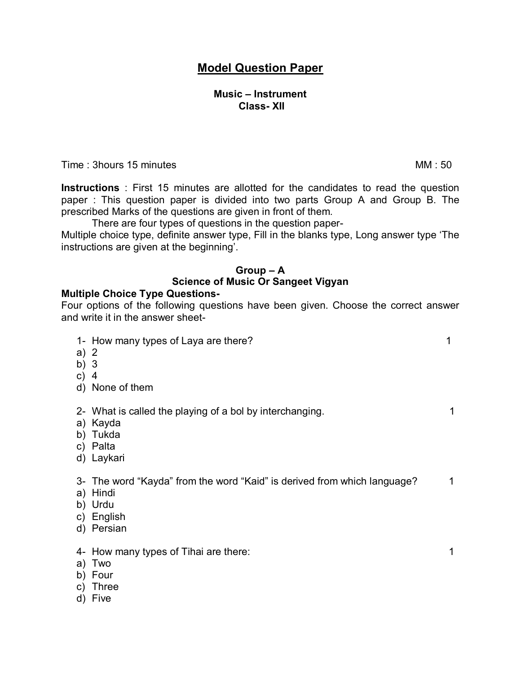# **Model Question Paper**

### **Music – Instrument Class- XII**

Time : 3hours 15 minutes MM : 50

**Instructions** : First 15 minutes are allotted for the candidates to read the question paper : This question paper is divided into two parts Group A and Group B. The prescribed Marks of the questions are given in front of them.

There are four types of questions in the question paper-

Multiple choice type, definite answer type, Fill in the blanks type, Long answer type 'The instructions are given at the beginning'.

#### **Group – A**

#### **Science of Music Or Sangeet Vigyan**

### **Multiple Choice Type Questions-**

Four options of the following questions have been given. Choose the correct answer and write it in the answer sheet-

| 1- How many types of Laya are there?<br>a) 2<br>b) $3$<br>c) $4$<br>d) None of them                                         | 1 |
|-----------------------------------------------------------------------------------------------------------------------------|---|
| 2- What is called the playing of a bol by interchanging.<br>a) Kayda<br>b) Tukda<br>c) Palta<br>d) Laykari                  | 1 |
| 3- The word "Kayda" from the word "Kaid" is derived from which language?<br>a) Hindi<br>b) Urdu<br>c) English<br>d) Persian | 1 |
| 4- How many types of Tihai are there:<br>Two<br>a)<br>Four<br>b)<br>Three<br>C)                                             | 1 |

d) Five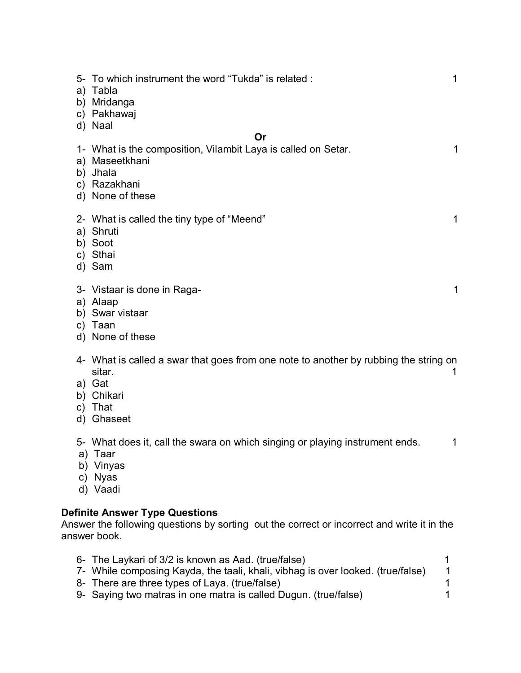|                    | 5- To which instrument the word "Tukda" is related:<br>a) Tabla<br>b) Mridanga<br>c) Pakhawaj<br>d) Naal                                  | 1            |
|--------------------|-------------------------------------------------------------------------------------------------------------------------------------------|--------------|
|                    | Or<br>1- What is the composition, Vilambit Laya is called on Setar.<br>a) Maseetkhani<br>b) Jhala<br>c) Razakhani<br>d) None of these     | $\mathbf{1}$ |
|                    | 2- What is called the tiny type of "Meend"<br>a) Shruti<br>b) Soot<br>c) Sthai<br>d) Sam                                                  | 1            |
| C)                 | 3- Vistaar is done in Raga-<br>a) Alaap<br>b) Swar vistaar<br>Taan<br>d) None of these                                                    | 1            |
| C)<br>d)           | 4- What is called a swar that goes from one note to another by rubbing the string on<br>sitar.<br>a) Gat<br>b) Chikari<br>That<br>Ghaseet | 1            |
| a)<br>$\mathsf{C}$ | 5- What does it, call the swara on which singing or playing instrument ends.<br>Taar<br>b) Vinyas<br><b>Nyas</b><br>d) Vaadi              | 1            |

## **Definite Answer Type Questions**

Answer the following questions by sorting out the correct or incorrect and write it in the answer book.

| 6- The Laykari of 3/2 is known as Aad. (true/false)                             |  |
|---------------------------------------------------------------------------------|--|
| 7- While composing Kayda, the taali, khali, vibhag is over looked. (true/false) |  |
| 8- There are three types of Laya. (true/false)                                  |  |
| 9- Saying two matras in one matra is called Dugun. (true/false)                 |  |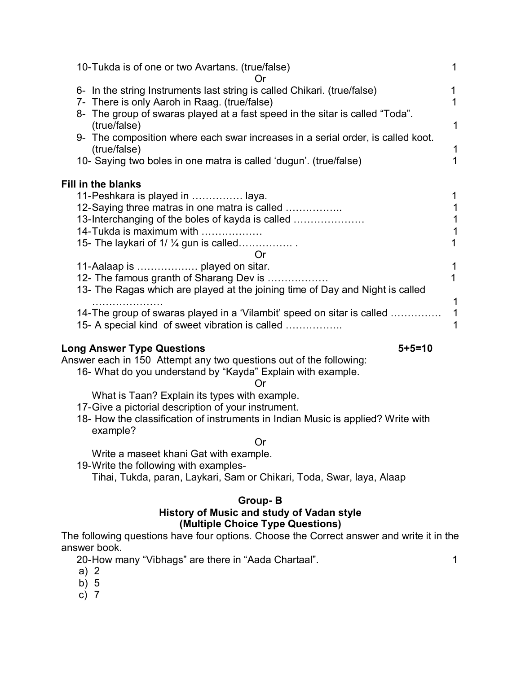| 10-Tukda is of one or two Avartans. (true/false)                                                                                                                                                                                                                                                                                                                                                 | 1                     |
|--------------------------------------------------------------------------------------------------------------------------------------------------------------------------------------------------------------------------------------------------------------------------------------------------------------------------------------------------------------------------------------------------|-----------------------|
| 6- In the string Instruments last string is called Chikari. (true/false)<br>7- There is only Aaroh in Raag. (true/false)<br>8- The group of swaras played at a fast speed in the sitar is called "Toda".<br>(true/false)<br>9- The composition where each swar increases in a serial order, is called koot.<br>(true/false)<br>10- Saying two boles in one matra is called 'dugun'. (true/false) | 1<br>1<br>1<br>1<br>1 |
| Fill in the blanks<br>11-Peshkara is played in  laya.<br>12-Saying three matras in one matra is called<br>13-Interchanging of the boles of kayda is called<br>14-Tukda is maximum with<br>15- The laykari of $1/\frac{1}{4}$ gun is called<br><b>Or</b>                                                                                                                                          | 1                     |
| 12- The famous granth of Sharang Dev is<br>13- The Ragas which are played at the joining time of Day and Night is called<br>14-The group of swaras played in a 'Vilambit' speed on sitar is called<br>15- A special kind of sweet vibration is called                                                                                                                                            | 1<br>1<br>1           |

### **Long Answer Type Questions 5+5=10**

Answer each in 150 Attempt any two questions out of the following:

16- What do you understand by "Kayda" Explain with example.

Or

What is Taan? Explain its types with example.

17-Give a pictorial description of your instrument.

18- How the classification of instruments in Indian Music is applied? Write with example?

Or

Write a maseet khani Gat with example.

19-Write the following with examples-Tihai, Tukda, paran, Laykari, Sam or Chikari, Toda, Swar, laya, Alaap

### **Group- B**

### **History of Music and study of Vadan style (Multiple Choice Type Questions)**

The following questions have four options. Choose the Correct answer and write it in the answer book.

20-How many "Vibhags" are there in "Aada Chartaal". 1

- 
- a) 2 b) 5
- c) 7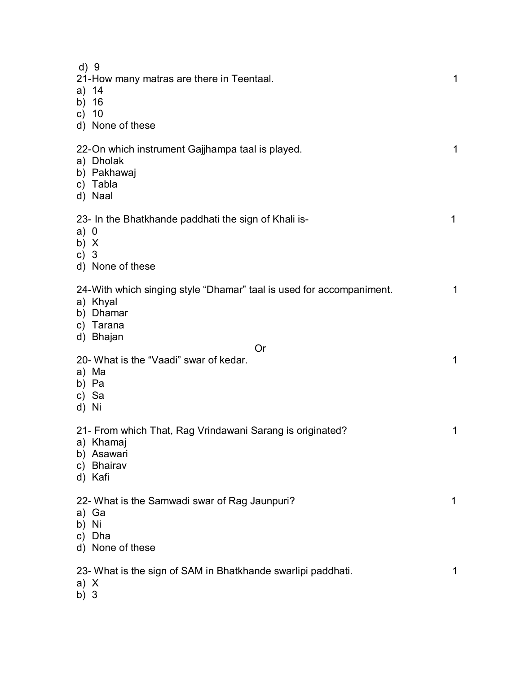| d) 9<br>a) 14<br>b) 16<br>c) $10$ | 21-How many matras are there in Teentaal.<br>d) None of these                                                           | 1 |
|-----------------------------------|-------------------------------------------------------------------------------------------------------------------------|---|
| d) Naal                           | 22-On which instrument Gajjhampa taal is played.<br>a) Dholak<br>b) Pakhawaj<br>c) Tabla                                | 1 |
| a) 0<br>b) $X$<br>c) $3$          | 23- In the Bhatkhande paddhati the sign of Khali is-<br>d) None of these                                                | 1 |
|                                   | 24-With which singing style "Dhamar" taal is used for accompaniment.<br>a) Khyal<br>b) Dhamar<br>c) Tarana<br>d) Bhajan | 1 |
| a) Ma<br>b) Pa<br>c) Sa<br>d) Ni  | Or<br>20- What is the "Vaadi" swar of kedar.                                                                            | 1 |
| d) Kafi                           | 21- From which That, Rag Vrindawani Sarang is originated?<br>a) Khamaj<br>b) Asawari<br>c) Bhairav                      | 1 |
| a) Ga<br>b) Ni<br>C)              | 22- What is the Samwadi swar of Rag Jaunpuri?<br>Dha<br>d) None of these                                                | 1 |
| a) X                              | 23- What is the sign of SAM in Bhatkhande swarlipi paddhati.                                                            | 1 |

b) 3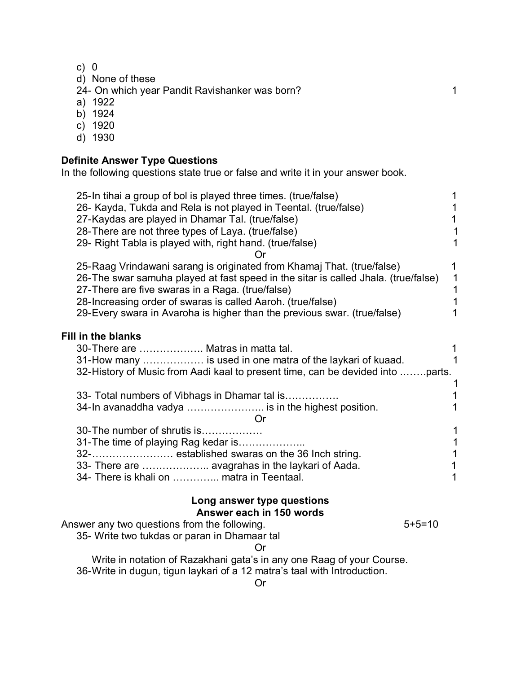c) 0

d) None of these

24- On which year Pandit Ravishanker was born? 1

- a) 1922
- b) 1924
- c) 1920
- d) 1930

## **Definite Answer Type Questions**

In the following questions state true or false and write it in your answer book.

| 25-In tihai a group of bol is played three times. (true/false)<br>26- Kayda, Tukda and Rela is not played in Teental. (true/false)<br>27-Kaydas are played in Dhamar Tal. (true/false)<br>28-There are not three types of Laya. (true/false)<br>29- Right Tabla is played with, right hand. (true/false)                                                    | 1<br>1<br>1<br>1<br>1                                  |
|-------------------------------------------------------------------------------------------------------------------------------------------------------------------------------------------------------------------------------------------------------------------------------------------------------------------------------------------------------------|--------------------------------------------------------|
| 25-Raag Vrindawani sarang is originated from Khamaj That. (true/false)<br>26-The swar samuha played at fast speed in the sitar is called Jhala. (true/false)<br>27-There are five swaras in a Raga. (true/false)<br>28-Increasing order of swaras is called Aaroh. (true/false)<br>29-Every swara in Avaroha is higher than the previous swar. (true/false) | 1<br>$\mathbf 1$<br>$\mathbf 1$<br>$\overline{1}$<br>1 |
| <b>Fill in the blanks</b><br>30-There are  Matras in matta tal.<br>31-How many  is used in one matra of the laykari of kuaad.<br>32-History of Music from Aadi kaal to present time, can be devided into parts.                                                                                                                                             | 1<br>1                                                 |
| 33- Total numbers of Vibhags in Dhamar tal is<br>34-In avanaddha vadya  is in the highest position.<br>Or                                                                                                                                                                                                                                                   | 1<br>1                                                 |
| 30-The number of shrutis is                                                                                                                                                                                                                                                                                                                                 | 1                                                      |
| 31-The time of playing Rag kedar is                                                                                                                                                                                                                                                                                                                         | 1                                                      |
|                                                                                                                                                                                                                                                                                                                                                             | 1                                                      |
| 33- There are  avagrahas in the laykari of Aada.<br>34- There is khali on  matra in Teentaal.                                                                                                                                                                                                                                                               | 1                                                      |
| Long answer type questions                                                                                                                                                                                                                                                                                                                                  |                                                        |
| Answer each in 150 words<br>$5 + 5 = 10$                                                                                                                                                                                                                                                                                                                    |                                                        |
| Answer any two questions from the following.<br>35- Write two tukdas or paran in Dhamaar tal                                                                                                                                                                                                                                                                |                                                        |
|                                                                                                                                                                                                                                                                                                                                                             |                                                        |
| Write in notation of Razakhani gata's in any one Raag of your Course.                                                                                                                                                                                                                                                                                       |                                                        |
| بمناوع بالمعطورا والشيط المسارع والمواجهون والمرجم ألويه والمحارب والمستويل وسيتمرئ المراري<br>00.11                                                                                                                                                                                                                                                        |                                                        |

36-Write in dugun, tigun laykari of a 12 matra's taal with Introduction.